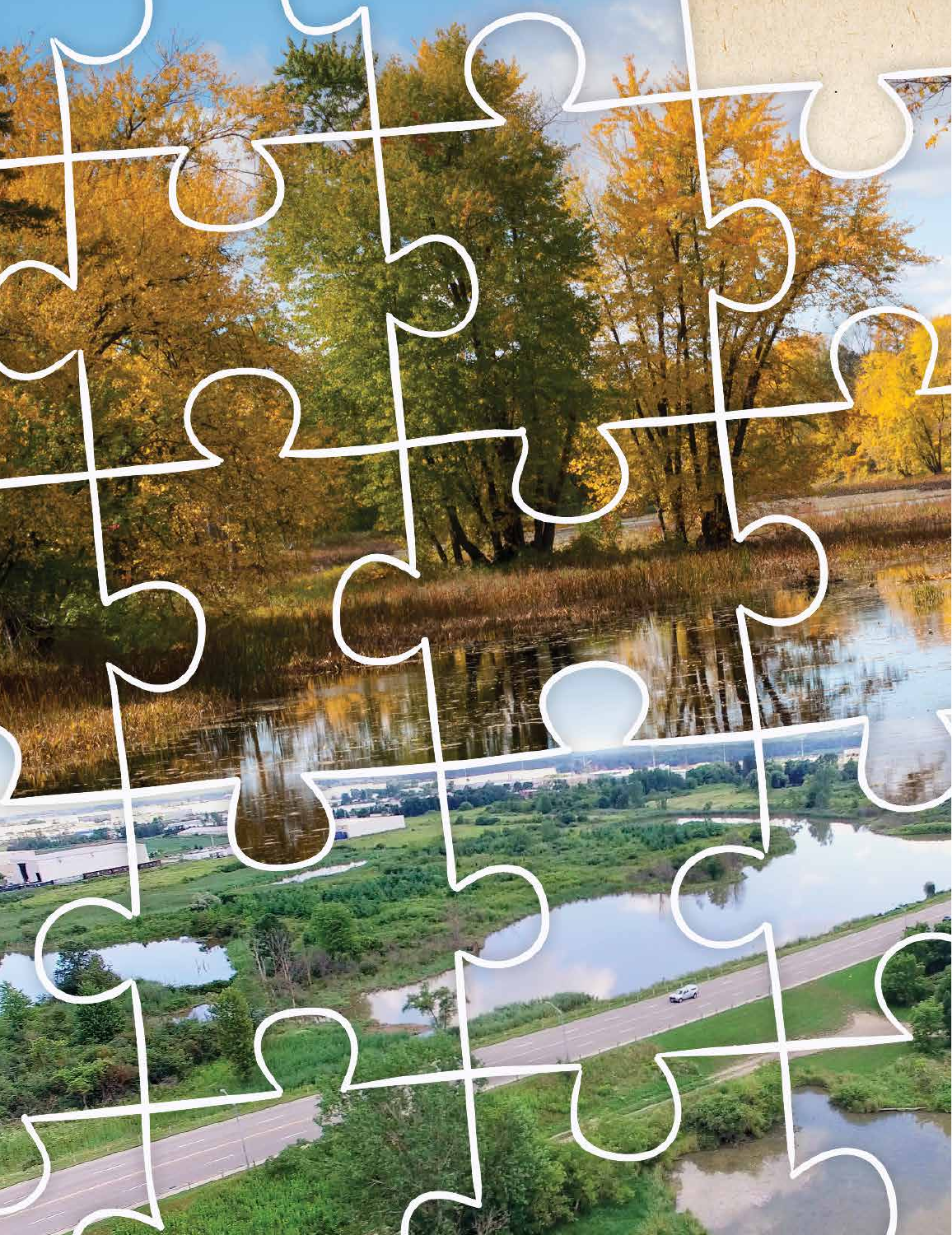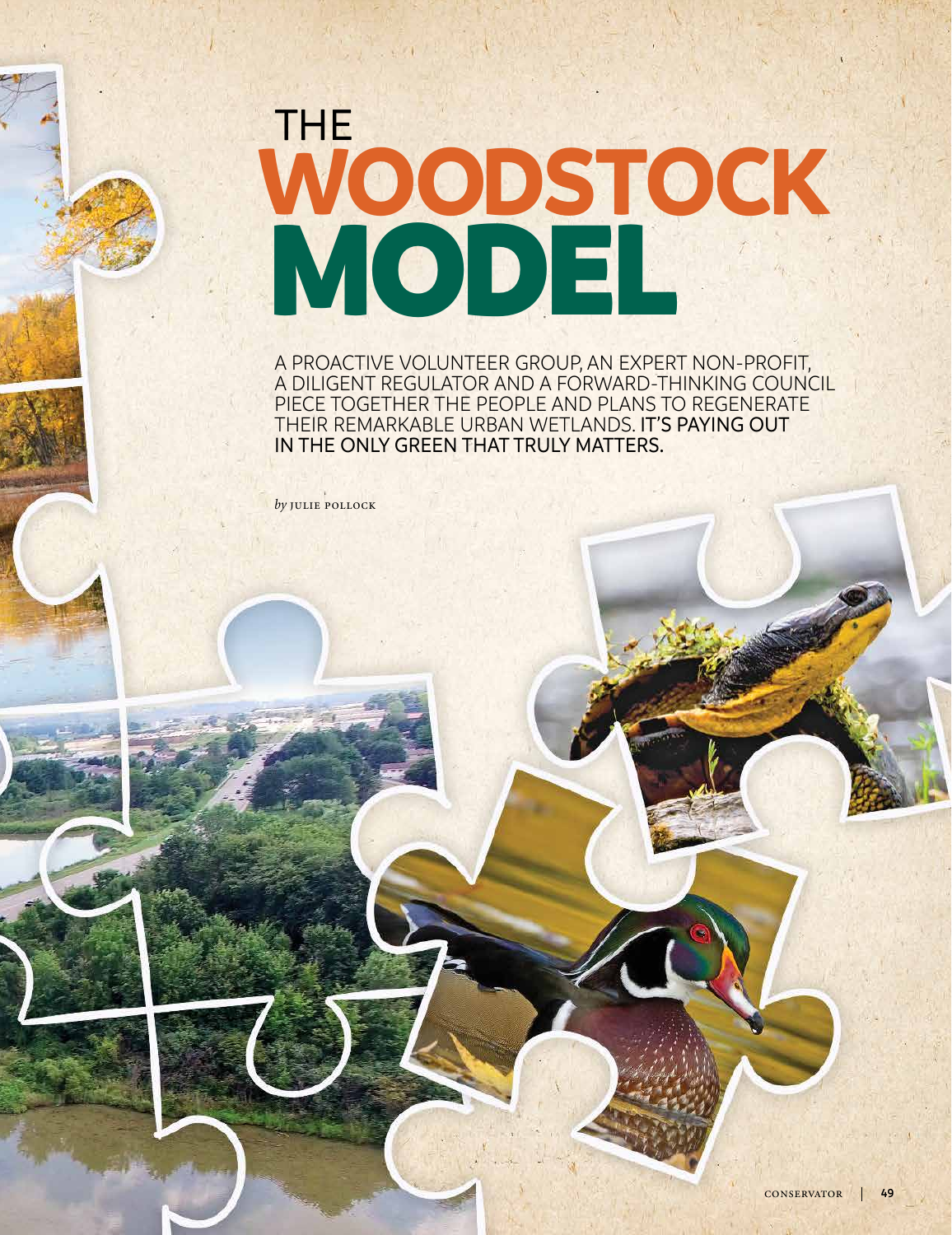# **WOODSTOCK** MODEL THE

A PROACTIVE VOLUNTEER GROUP, AN EXPERT NON-PROFIT, A DILIGENT REGULATOR AND A FORWARD-THINKING COUNCIL PIECE TOGETHER THE PEOPLE AND PLANS TO REGENERATE THEIR REMARKABLE URBAN WETLANDS. IT'S PAYING OUT IN THE ONLY GREEN THAT TRULY MATTERS.

*by* julie pollock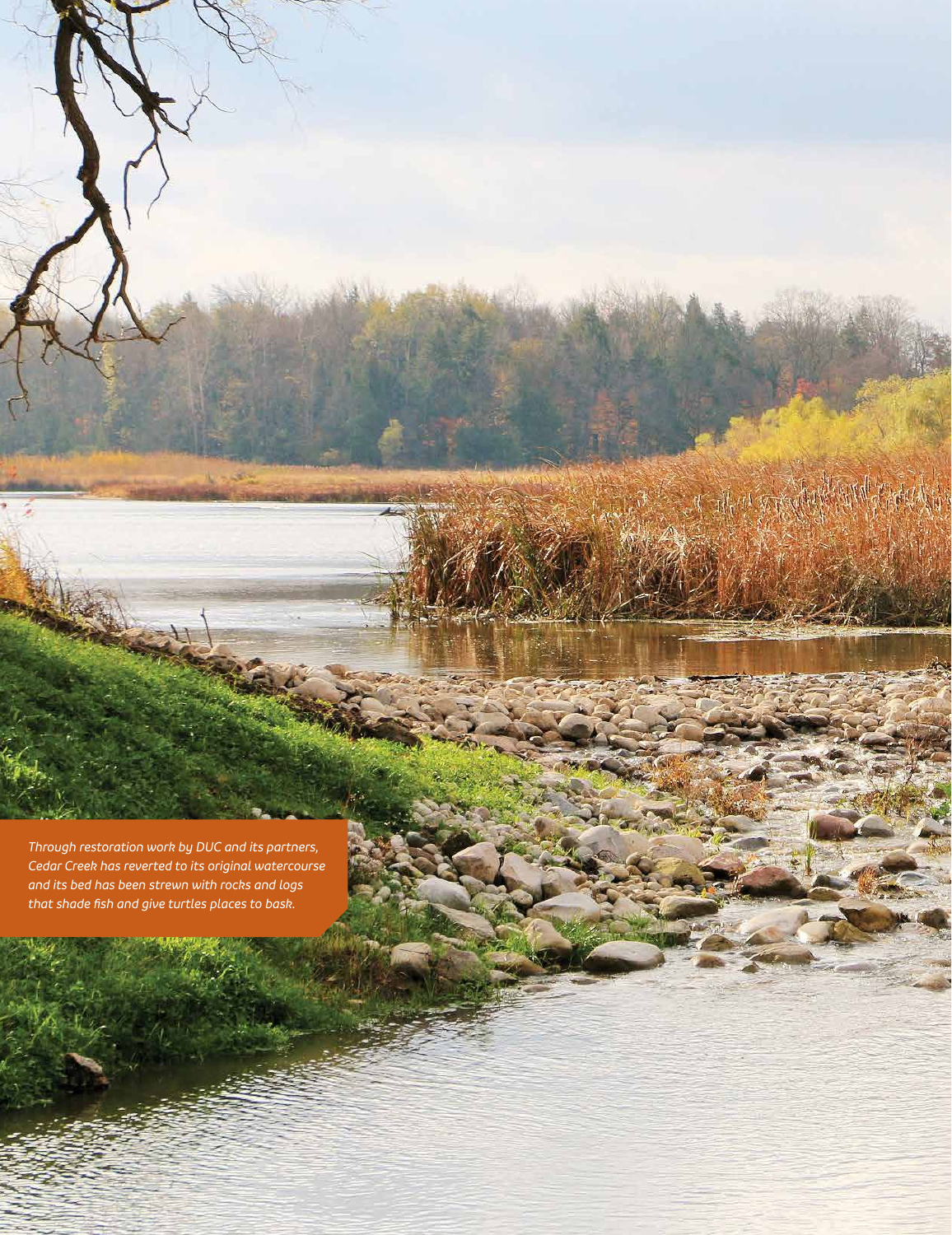*Through restoration work by DUC and its partners, Cedar Creek has reverted to its original watercourse and its bed has been strewn with rocks and logs that shade fish and give turtles places to bask.*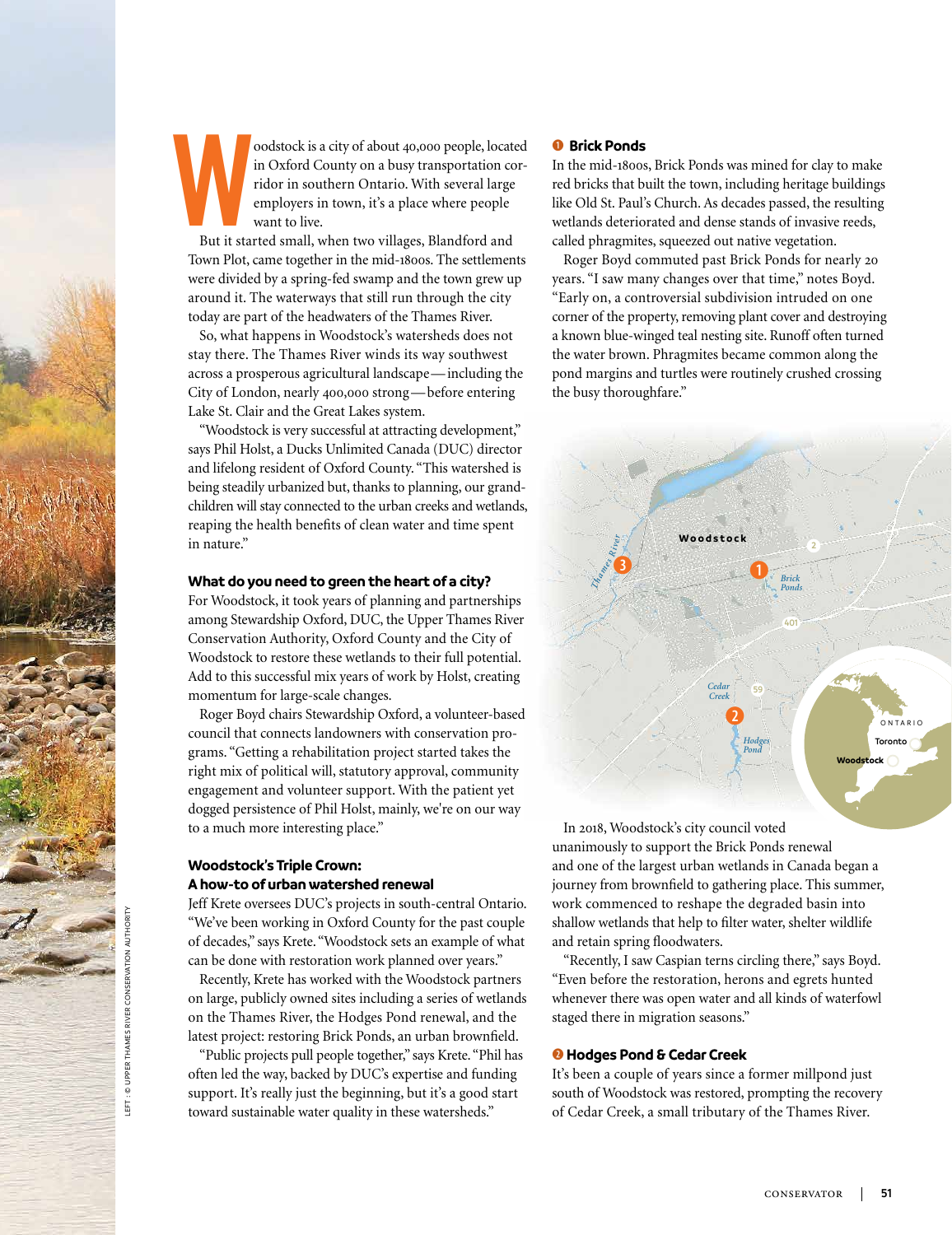

LEFT : © UPPER THAMES RIVER CONSERVATION AUTHORITY

oodstock is a city of about 40,000 people, located in Oxford County on a busy transportation corridor in southern Ontario. With several large employers in town, it's a place where people want to live. **W**<br>But it sta

But it started small, when two villages, Blandford and Town Plot, came together in the mid-1800s. The settlements were divided by a spring-fed swamp and the town grew up around it. The waterways that still run through the city today are part of the headwaters of the Thames River.

So, what happens in Woodstock's watersheds does not stay there. The Thames River winds its way southwest across a prosperous agricultural landscape—including the City of London, nearly 400,000 strong—before entering Lake St. Clair and the Great Lakes system.

"Woodstock is very successful at attracting development," says Phil Holst, a Ducks Unlimited Canada (DUC) director and lifelong resident of Oxford County. "This watershed is being steadily urbanized but, thanks to planning, our grandchildren will stay connected to the urban creeks and wetlands, reaping the health benefits of clean water and time spent in nature."

#### **What do you need to green the heart of a city?**

For Woodstock, it took years of planning and partnerships among Stewardship Oxford, DUC, the Upper Thames River Conservation Authority, Oxford County and the City of Woodstock to restore these wetlands to their full potential. Add to this successful mix years of work by Holst, creating momentum for large-scale changes.

Roger Boyd chairs Stewardship Oxford, a volunteer-based council that connects landowners with conservation programs. "Getting a rehabilitation project started takes the right mix of political will, statutory approval, community engagement and volunteer support. With the patient yet dogged persistence of Phil Holst, mainly, we're on our way to a much more interesting place."

## **Woodstock's Triple Crown: A how-to of urban watershed renewal**

Jeff Krete oversees DUC's projects in south-central Ontario. "We've been working in Oxford County for the past couple of decades," says Krete. "Woodstock sets an example of what can be done with restoration work planned over years."

Recently, Krete has worked with the Woodstock partners on large, publicly owned sites including a series of wetlands on the Thames River, the Hodges Pond renewal, and the latest project: restoring Brick Ponds, an urban brownfield.

"Public projects pull people together," says Krete. "Phil has often led the way, backed by DUC's expertise and funding support. It's really just the beginning, but it's a good start toward sustainable water quality in these watersheds."

#### *<b>O* Brick Ponds

In the mid-1800s, Brick Ponds was mined for clay to make red bricks that built the town, including heritage buildings like Old St. Paul's Church. As decades passed, the resulting wetlands deteriorated and dense stands of invasive reeds, called phragmites, squeezed out native vegetation.

Roger Boyd commuted past Brick Ponds for nearly 20 years. "I saw many changes over that time," notes Boyd. "Early on, a controversial subdivision intruded on one corner of the property, removing plant cover and destroying a known blue-winged teal nesting site. Runoff often turned the water brown. Phragmites became common along the pond margins and turtles were routinely crushed crossing the busy thoroughfare."



In 2018, Woodstock's city council voted unanimously to support the Brick Ponds renewal and one of the largest urban wetlands in Canada began a journey from brownfield to gathering place. This summer, work commenced to reshape the degraded basin into shallow wetlands that help to filter water, shelter wildlife and retain spring floodwaters.

"Recently, I saw Caspian terns circling there," says Boyd. "Even before the restoration, herons and egrets hunted whenever there was open water and all kinds of waterfowl staged there in migration seasons."

#### c **Hodges Pond & Cedar Creek**

It's been a couple of years since a former millpond just south of Woodstock was restored, prompting the recovery of Cedar Creek, a small tributary of the Thames River.